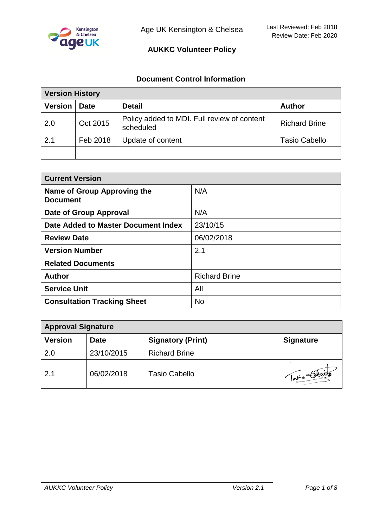

#### **Document Control Information**

| <b>Version History</b> |             |                                                          |                      |
|------------------------|-------------|----------------------------------------------------------|----------------------|
| <b>Version</b>         | <b>Date</b> | <b>Detail</b>                                            | <b>Author</b>        |
| 2.0                    | Oct 2015    | Policy added to MDI. Full review of content<br>scheduled | <b>Richard Brine</b> |
| 2.1                    | Feb 2018    | Update of content                                        | <b>Tasio Cabello</b> |
|                        |             |                                                          |                      |

| <b>Current Version</b>                         |                      |  |
|------------------------------------------------|----------------------|--|
| Name of Group Approving the<br><b>Document</b> | N/A                  |  |
| Date of Group Approval                         | N/A                  |  |
| Date Added to Master Document Index            | 23/10/15             |  |
| <b>Review Date</b>                             | 06/02/2018           |  |
| <b>Version Number</b>                          | 2.1                  |  |
| <b>Related Documents</b>                       |                      |  |
| <b>Author</b>                                  | <b>Richard Brine</b> |  |
| <b>Service Unit</b>                            | All                  |  |
| <b>Consultation Tracking Sheet</b>             | <b>No</b>            |  |

| <b>Approval Signature</b> |             |                          |                  |
|---------------------------|-------------|--------------------------|------------------|
| <b>Version</b>            | <b>Date</b> | <b>Signatory (Print)</b> | <b>Signature</b> |
| 2.0                       | 23/10/2015  | <b>Richard Brine</b>     |                  |
| 2.1                       | 06/02/2018  | Tasio Cabello            | pro total        |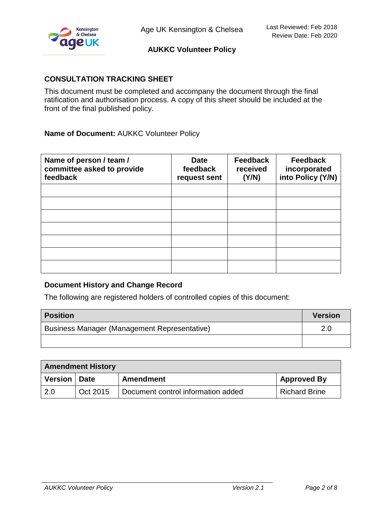

## **CONSULTATION TRACKING SHEET**

This document must be completed and accompany the document through the final ratification and authorisation process. A copy of this sheet should be included at the front of the final published policy.

**Name of Document:** AUKKC Volunteer Policy

| Name of person / team /<br>committee asked to provide<br>feedback | <b>Date</b><br>feedback<br>request sent | <b>Feedback</b><br>received<br>(Y/N) | <b>Feedback</b><br>incorporated<br>into Policy (Y/N) |
|-------------------------------------------------------------------|-----------------------------------------|--------------------------------------|------------------------------------------------------|
|                                                                   |                                         |                                      |                                                      |
|                                                                   |                                         |                                      |                                                      |
|                                                                   |                                         |                                      |                                                      |
|                                                                   |                                         |                                      |                                                      |
|                                                                   |                                         |                                      |                                                      |
|                                                                   |                                         |                                      |                                                      |
|                                                                   |                                         |                                      |                                                      |

## **Document History and Change Record**

The following are registered holders of controlled copies of this document:

| <b>Position</b>                                     | <b>Version</b> |
|-----------------------------------------------------|----------------|
| <b>Business Manager (Management Representative)</b> | 2.0            |
|                                                     |                |

| <b>Amendment History</b> |          |                                    |                      |
|--------------------------|----------|------------------------------------|----------------------|
| Version   Date           |          | <b>Amendment</b>                   | <b>Approved By</b>   |
| <b>2.0</b>               | Oct 2015 | Document control information added | <b>Richard Brine</b> |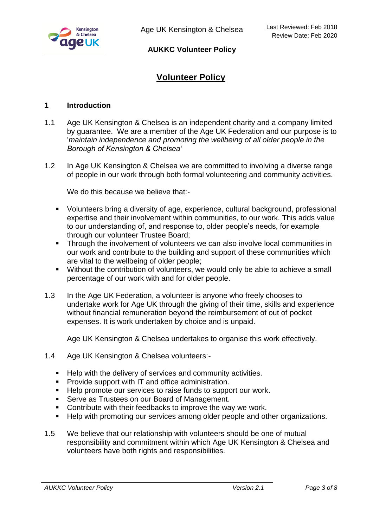

# **Volunteer Policy**

#### **1 Introduction**

- 1.1 Age UK Kensington & Chelsea is an independent charity and a company limited by guarantee. We are a member of the Age UK Federation and our purpose is to '*maintain independence and promoting the wellbeing of all older people in the Borough of Kensington & Chelsea'*
- 1.2 In Age UK Kensington & Chelsea we are committed to involving a diverse range of people in our work through both formal volunteering and community activities.

We do this because we believe that:-

- Volunteers bring a diversity of age, experience, cultural background, professional expertise and their involvement within communities, to our work. This adds value to our understanding of, and response to, older people's needs, for example through our volunteer Trustee Board;
- **Through the involvement of volunteers we can also involve local communities in** our work and contribute to the building and support of these communities which are vital to the wellbeing of older people;
- Without the contribution of volunteers, we would only be able to achieve a small percentage of our work with and for older people.
- 1.3 In the Age UK Federation, a volunteer is anyone who freely chooses to undertake work for Age UK through the giving of their time, skills and experience without financial remuneration beyond the reimbursement of out of pocket expenses. It is work undertaken by choice and is unpaid.

Age UK Kensington & Chelsea undertakes to organise this work effectively.

- 1.4 Age UK Kensington & Chelsea volunteers:-
	- Help with the delivery of services and community activities.
	- **Provide support with IT and office administration.**
	- Help promote our services to raise funds to support our work.
	- **Serve as Trustees on our Board of Management.**
	- **Contribute with their feedbacks to improve the way we work.**
	- Help with promoting our services among older people and other organizations.
- 1.5 We believe that our relationship with volunteers should be one of mutual responsibility and commitment within which Age UK Kensington & Chelsea and volunteers have both rights and responsibilities.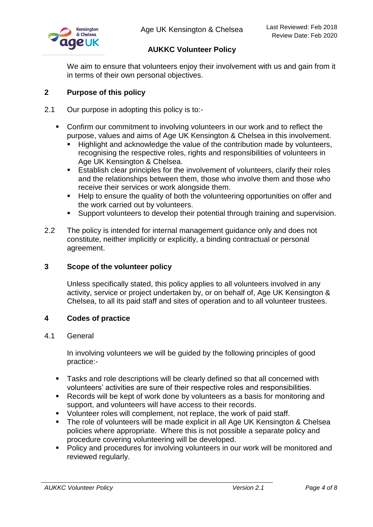

We aim to ensure that volunteers enjoy their involvement with us and gain from it in terms of their own personal objectives.

## **2 Purpose of this policy**

- 2.1 Our purpose in adopting this policy is to:-
	- Confirm our commitment to involving volunteers in our work and to reflect the purpose, values and aims of Age UK Kensington & Chelsea in this involvement.
		- **Highlight and acknowledge the value of the contribution made by volunteers,** recognising the respective roles, rights and responsibilities of volunteers in Age UK Kensington & Chelsea.
		- Establish clear principles for the involvement of volunteers, clarify their roles and the relationships between them, those who involve them and those who receive their services or work alongside them.
		- Help to ensure the quality of both the volunteering opportunities on offer and the work carried out by volunteers.
		- **Support volunteers to develop their potential through training and supervision.**
- 2.2 The policy is intended for internal management guidance only and does not constitute, neither implicitly or explicitly, a binding contractual or personal agreement.

## **3 Scope of the volunteer policy**

Unless specifically stated, this policy applies to all volunteers involved in any activity, service or project undertaken by, or on behalf of, Age UK Kensington & Chelsea, to all its paid staff and sites of operation and to all volunteer trustees.

#### **4 Codes of practice**

#### 4.1 General

In involving volunteers we will be guided by the following principles of good practice:-

- Tasks and role descriptions will be clearly defined so that all concerned with volunteers' activities are sure of their respective roles and responsibilities.
- Records will be kept of work done by volunteers as a basis for monitoring and support, and volunteers will have access to their records.
- Volunteer roles will complement, not replace, the work of paid staff.
- **The role of volunteers will be made explicit in all Age UK Kensington & Chelsea** policies where appropriate. Where this is not possible a separate policy and procedure covering volunteering will be developed.
- **Policy and procedures for involving volunteers in our work will be monitored and** reviewed regularly.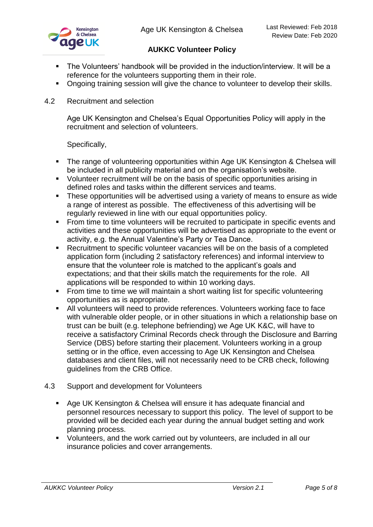- The Volunteers' handbook will be provided in the induction/interview. It will be a reference for the volunteers supporting them in their role.
- Ongoing training session will give the chance to volunteer to develop their skills.
- 4.2 Recruitment and selection

Age UK Kensington and Chelsea's Equal Opportunities Policy will apply in the recruitment and selection of volunteers.

Specifically,

- The range of volunteering opportunities within Age UK Kensington & Chelsea will be included in all publicity material and on the organisation's website.
- Volunteer recruitment will be on the basis of specific opportunities arising in defined roles and tasks within the different services and teams.
- **These opportunities will be advertised using a variety of means to ensure as wide** a range of interest as possible. The effectiveness of this advertising will be regularly reviewed in line with our equal opportunities policy.
- **From time to time volunteers will be recruited to participate in specific events and** activities and these opportunities will be advertised as appropriate to the event or activity, e.g. the Annual Valentine's Party or Tea Dance.
- Recruitment to specific volunteer vacancies will be on the basis of a completed application form (including 2 satisfactory references) and informal interview to ensure that the volunteer role is matched to the applicant's goals and expectations; and that their skills match the requirements for the role. All applications will be responded to within 10 working days.
- From time to time we will maintain a short waiting list for specific volunteering opportunities as is appropriate.
- All volunteers will need to provide references. Volunteers working face to face with vulnerable older people, or in other situations in which a relationship base on trust can be built (e.g. telephone befriending) we Age UK K&C, will have to receive a satisfactory Criminal Records check through the Disclosure and Barring Service (DBS) before starting their placement. Volunteers working in a group setting or in the office, even accessing to Age UK Kensington and Chelsea databases and client files, will not necessarily need to be CRB check, following guidelines from the CRB Office.
- 4.3 Support and development for Volunteers
	- Age UK Kensington & Chelsea will ensure it has adequate financial and personnel resources necessary to support this policy. The level of support to be provided will be decided each year during the annual budget setting and work planning process.
	- Volunteers, and the work carried out by volunteers, are included in all our insurance policies and cover arrangements.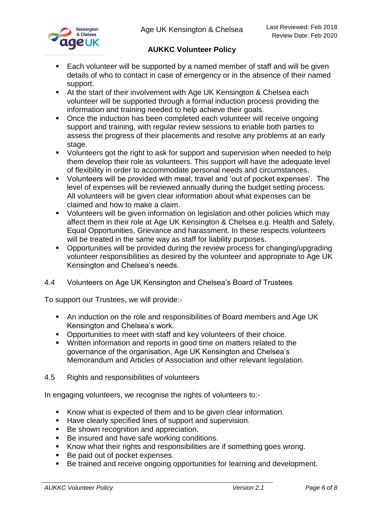

- Each volunteer will be supported by a named member of staff and will be given details of who to contact in case of emergency or in the absence of their named support.
- At the start of their involvement with Age UK Kensington & Chelsea each volunteer will be supported through a formal induction process providing the information and training needed to help achieve their goals.
- Once the induction has been completed each volunteer will receive ongoing support and training, with regular review sessions to enable both parties to assess the progress of their placements and resolve any problems at an early stage.
- Volunteers got the right to ask for support and supervision when needed to help them develop their role as volunteers. This support will have the adequate level of flexibility in order to accommodate personal needs and circumstances.
- Volunteers will be provided with meal, travel and 'out of pocket expenses'. The level of expenses will be reviewed annually during the budget setting process. All volunteers will be given clear information about what expenses can be claimed and how to make a claim.
- Volunteers will be given information on legislation and other policies which may affect them in their role at Age UK Kensington & Chelsea e.g. Health and Safety, Equal Opportunities, Grievance and harassment. In these respects volunteers will be treated in the same way as staff for liability purposes.
- **Opportunities will be provided during the review process for changing/upgrading** volunteer responsibilities as desired by the volunteer and appropriate to Age UK Kensington and Chelsea's needs.

## 4.4 Volunteers on Age UK Kensington and Chelsea's Board of Trustees

To support our Trustees, we will provide:-

- An induction on the role and responsibilities of Board members and Age UK Kensington and Chelsea's work.
- Opportunities to meet with staff and key volunteers of their choice.
- Written information and reports in good time on matters related to the governance of the organisation, Age UK Kensington and Chelsea's Memorandum and Articles of Association and other relevant legislation.
- 4.5 Rights and responsibilities of volunteers

In engaging volunteers, we recognise the rights of volunteers to:-

- Know what is expected of them and to be given clear information.
- Have clearly specified lines of support and supervision.
- Be shown recognition and appreciation.
- Be insured and have safe working conditions.
- Know what their rights and responsibilities are if something goes wrong.
- Be paid out of pocket expenses.
- Be trained and receive ongoing opportunities for learning and development.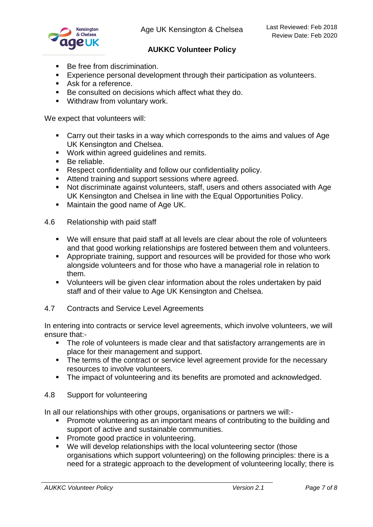

- Be free from discrimination.
- **Experience personal development through their participation as volunteers.**
- Ask for a reference.
- Be consulted on decisions which affect what they do.
- **Withdraw from voluntary work.**

We expect that volunteers will:

- Carry out their tasks in a way which corresponds to the aims and values of Age UK Kensington and Chelsea.
- Work within agreed guidelines and remits.
- **Be reliable.**
- **Respect confidentiality and follow our confidentiality policy.**
- **Attend training and support sessions where agreed.**
- Not discriminate against volunteers, staff, users and others associated with Age UK Kensington and Chelsea in line with the Equal Opportunities Policy.
- **Maintain the good name of Age UK.**
- 4.6 Relationship with paid staff
	- We will ensure that paid staff at all levels are clear about the role of volunteers and that good working relationships are fostered between them and volunteers.
	- Appropriate training, support and resources will be provided for those who work alongside volunteers and for those who have a managerial role in relation to them.
	- Volunteers will be given clear information about the roles undertaken by paid staff and of their value to Age UK Kensington and Chelsea.
- 4.7 Contracts and Service Level Agreements

In entering into contracts or service level agreements, which involve volunteers, we will ensure that:-

- The role of volunteers is made clear and that satisfactory arrangements are in place for their management and support.
- The terms of the contract or service level agreement provide for the necessary resources to involve volunteers.
- The impact of volunteering and its benefits are promoted and acknowledged.
- 4.8 Support for volunteering

In all our relationships with other groups, organisations or partners we will:-

- **Promote volunteering as an important means of contributing to the building and** support of active and sustainable communities.
- **Promote good practice in volunteering.**
- We will develop relationships with the local volunteering sector (those organisations which support volunteering) on the following principles: there is a need for a strategic approach to the development of volunteering locally; there is